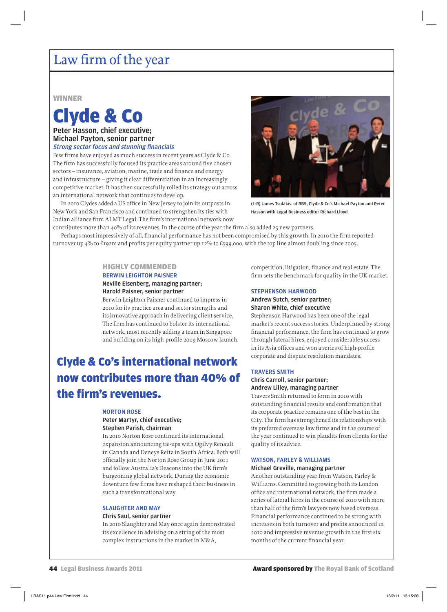## Law firm of the year

#### WINNER

# Clyde & Co

#### Peter Hasson, chief executive; Michael Payton, senior partner **Strong sector focus and stunning financials**

Few firms have enjoyed as much success in recent years as Clyde & Co. The firm has successfully focused its practice areas around five chosen sectors – insurance, aviation, marine, trade and finance and energy and infrastructure – giving it clear differentiation in an increasingly competitive market. It has then successfully rolled its strategy out across an international network that continues to develop.

In 2010 Clydes added a US office in New Jersey to join its outposts in New York and San Francisco and continued to strengthen its ties with Indian alliance firm ALMT Legal. The firm's international network now



(L-R) James Tsolakis of RBS, Clyde & Co's Michael Payton and Peter Hasson with Legal Business editor Richard Lloyd

contributes more than 40% of its revenues. In the course of the year the firm also added 25 new partners. Perhaps most impressively of all, financial performance has not been compromised by this growth. In 2010 the firm reported turnover up  $4\%$  to £192m and profits per equity partner up 12% to £599,000, with the top line almost doubling since 2005.

#### HIGHLY COMMENDED

#### BERWIN LEIGHTON PAISNER Neville Eisenberg, managing partner;

#### Harold Paisner, senior partner

Berwin Leighton Paisner continued to impress in 2010 for its practice area and sector strengths and its innovative approach in delivering client service. The firm has continued to bolster its international network, most recently adding a team in Singapore and building on its high-profile 2009 Moscow launch.

## Clyde & Co's international network now contributes more than 40% of the firm's revenues.

#### NORTON ROSE

#### Peter Martyr, chief executive; Stephen Parish, chairman

In 2010 Norton Rose continued its international expansion announcing tie-ups with Ogilvy Renault in Canada and Deneys Reitz in South Africa. Both will officially join the Norton Rose Group in June 2011 and follow Australia's Deacons into the UK firm's burgeoning global network. During the economic downturn few firms have reshaped their business in such a transformational way.

#### SLAUGHTER AND MAY Chris Saul, senior partner

In 2010 Slaughter and May once again demonstrated its excellence in advising on a string of the most complex instructions in the market in M&A,

competition, litigation, finance and real estate. The firm sets the benchmark for quality in the UK market.

#### STEPHENSON HARWOOD

#### Andrew Sutch, senior partner; Sharon White, chief executive

Stephenson Harwood has been one of the legal market's recent success stories. Underpinned by strong financial performance, the firm has continued to grow through lateral hires, enjoyed considerable success in its Asia offices and won a series of high-profile corporate and dispute resolution mandates.

#### TRAVERS SMITH

#### Chris Carroll, senior partner; Andrew Lilley, managing partner

Travers Smith returned to form in 2010 with outstanding financial results and confirmation that its corporate practice remains one of the best in the City. The firm has strengthened its relationships with its preferred overseas law firms and in the course of the year continued to win plaudits from clients for the quality of its advice.

#### WATSON, FARLEY & WILLIAMS

#### Michael Greville, managing partner

Another outstanding year from Watson, Farley & Williams. Committed to growing both its London office and international network, the firm made a series of lateral hires in the course of 2010 with more than half of the firm's lawyers now based overseas. Financial performance continued to be strong with increases in both turnover and profits announced in 2010 and impressive revenue growth in the first six months of the current financial year.